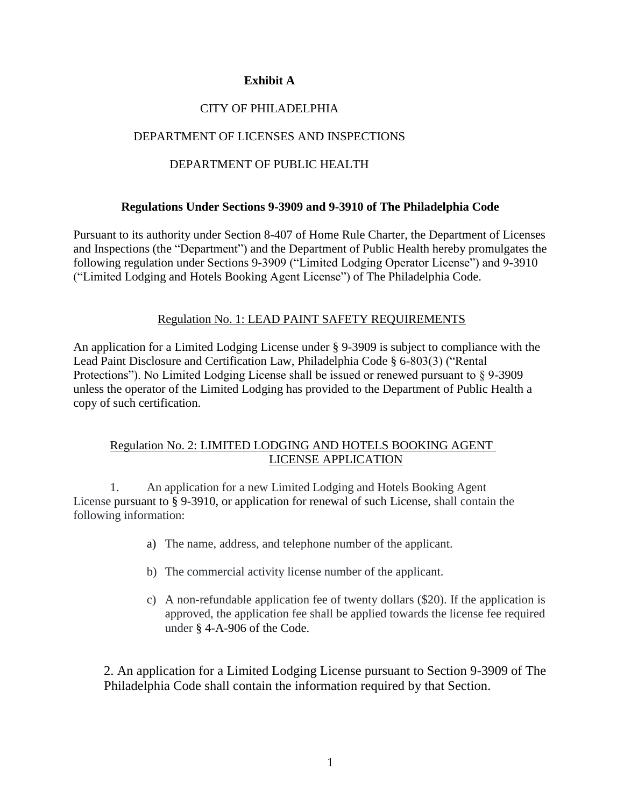### **Exhibit A**

# CITY OF PHILADELPHIA

# DEPARTMENT OF LICENSES AND INSPECTIONS

## DEPARTMENT OF PUBLIC HEALTH

#### **Regulations Under Sections 9-3909 and 9-3910 of The Philadelphia Code**

Pursuant to its authority under Section 8-407 of Home Rule Charter, the Department of Licenses and Inspections (the "Department") and the Department of Public Health hereby promulgates the following regulation under Sections 9-3909 ("Limited Lodging Operator License") and 9-3910 ("Limited Lodging and Hotels Booking Agent License") of The Philadelphia Code.

### Regulation No. 1: LEAD PAINT SAFETY REQUIREMENTS

An application for a Limited Lodging License under § 9-3909 is subject to compliance with the Lead Paint Disclosure and Certification Law, Philadelphia Code § 6-803(3) ("Rental Protections"). No Limited Lodging License shall be issued or renewed pursuant to § 9-3909 unless the operator of the Limited Lodging has provided to the Department of Public Health a copy of such certification.

#### Regulation No. 2: LIMITED LODGING AND HOTELS BOOKING AGENT LICENSE APPLICATION

1. An application for a new Limited Lodging and Hotels Booking Agent License pursuant to § 9-3910, or application for renewal of such License, shall contain the following information:

- a) The name, address, and telephone number of the applicant.
- b) The commercial activity license number of the applicant.
- c) A non-refundable application fee of twenty dollars (\$20). If the application is approved, the application fee shall be applied towards the license fee required under § 4-A-906 of the Code.

2. An application for a Limited Lodging License pursuant to Section 9-3909 of The Philadelphia Code shall contain the information required by that Section.